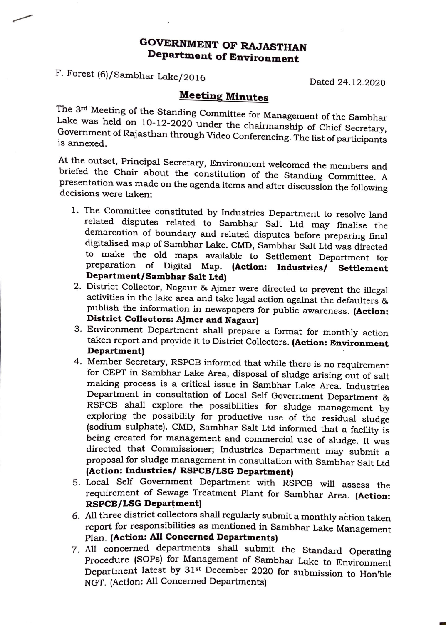## **GOVERNMENT OF RAJASTHAN Department of Environment**

F. Forest (6)/Sambhar Lake/2016

Dated 24.12.2020

-

## **Meeting Minutes**

The 3 rd Meeting of the Standing Committee for Management of the Sambhar Lake was held on 10-12-2020 under the chairmanship of Chief Secretary, Government of Rajasthan through Video Conferencing. The list of participants is annexed.

At the outset, Principal Secretary, Environment welcomed the members and briefed the Chair about the constitution of the Standing Committee. A presentation was made on the agenda items and after discussion the following decisions were taken:

- 1. The Committee constituted by Industries Department to resolve land related disputes related to Sambhar Salt Ltd may finalise the demarcation of boundary and related disputes before preparing final digitalised map of Sambhar Lake. CMD, Sambhar Salt Ltd was directed to make the old maps available to Settlement Department for preparation of Digital Map. **(Action: Industries/ Settlement Department/Sambhar Salt Ltd)**
- 2. District Collector, Nagaur & Ajmer were directed to prevent the illegal activities in the lake area and take legal action against the defaulters & publish the information in newspapers for public awareness. **(Action: District Collectors: Ajmer and Nagaur)**
- 3 . Environment Department shall prepare a format for monthly action taken report and provide it to District Collectors. **(Action: Environment Department)**
- 4. Member Secretary, RSPCB informed that while there is no requirement for CEPT in Sambhar Lake Area, disposal of sludge arising out of salt making process is a critical issue in Sambhar Lake Area. Industries Department in consultation of Local Self Government Department & RSPCB shall explore the possibilities for sludge management by exploring the possibility for productive use of the residual sludge (sodium sulphate). CMD, Sambhar Salt Ltd informed that a facility is being created for management and commercial use of sludge. It was directed that Commissioner; Industries Department may submit a proposal for sludge management in consultation with Sambhar Salt Ltd **(Action: Industries/ RSPCB/LSG Department)**
- 5. Local Self Government Department with RSPCB will assess the requirement of Sewage Treatment Plant for Sambhar Area. **(Action: RSPCB/LSG Department)**
- 6. All three district collectors shall regularly submit a monthly action taken report for responsibilities as mentioned in Sambhar Lake Management Plan. **(Action: All Concerned Departments)**
- 7 \_ All concerned departments shall submit the Standard Operating Procedure (SOPs) for Management of Sambhar Lake to Environment Department latest by 31st December 2020 for submission to Hon'ble NGT. (Action: All Concerned Departments)